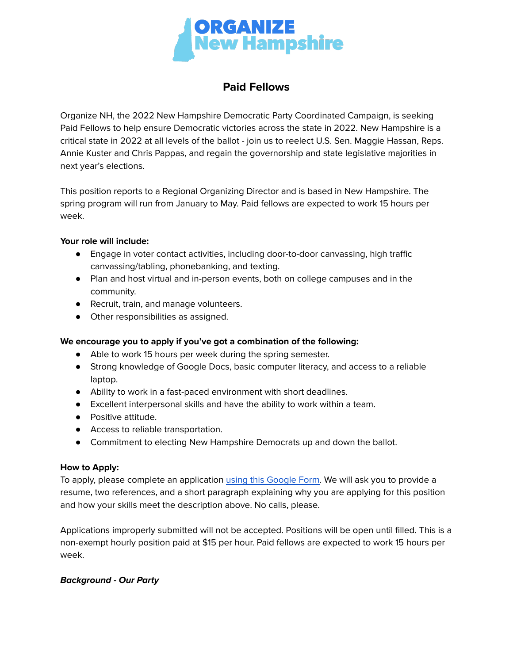

# **Paid Fellows**

Organize NH, the 2022 New Hampshire Democratic Party Coordinated Campaign, is seeking Paid Fellows to help ensure Democratic victories across the state in 2022. New Hampshire is a critical state in 2022 at all levels of the ballot - join us to reelect U.S. Sen. Maggie Hassan, Reps. Annie Kuster and Chris Pappas, and regain the governorship and state legislative majorities in next year's elections.

This position reports to a Regional Organizing Director and is based in New Hampshire. The spring program will run from January to May. Paid fellows are expected to work 15 hours per week.

## **Your role will include:**

- Engage in voter contact activities, including door-to-door canvassing, high traffic canvassing/tabling, phonebanking, and texting.
- Plan and host virtual and in-person events, both on college campuses and in the community.
- Recruit, train, and manage volunteers.
- Other responsibilities as assigned.

## **We encourage you to apply if you've got a combination of the following:**

- Able to work 15 hours per week during the spring semester.
- Strong knowledge of Google Docs, basic computer literacy, and access to a reliable laptop.
- Ability to work in a fast-paced environment with short deadlines.
- Excellent interpersonal skills and have the ability to work within a team.
- Positive attitude.
- Access to reliable transportation.
- Commitment to electing New Hampshire Democrats up and down the ballot.

## **How to Apply:**

To apply, please complete an application using this [Google](https://forms.gle/JetRCF62ZUv6RqiZ9) Form. We will ask you to provide a resume, two references, and a short paragraph explaining why you are applying for this position and how your skills meet the description above. No calls, please.

Applications improperly submitted will not be accepted. Positions will be open until filled. This is a non-exempt hourly position paid at \$15 per hour. Paid fellows are expected to work 15 hours per week.

## **Background - Our Party**